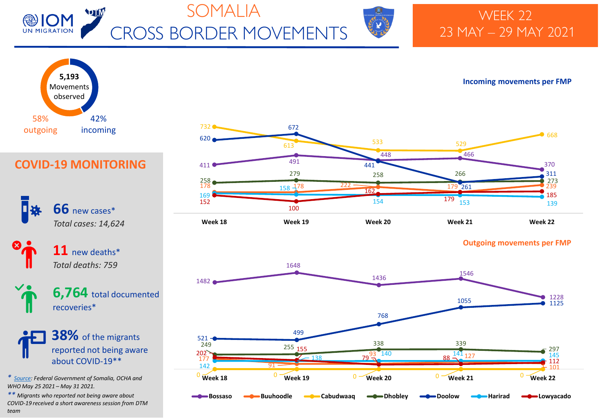



## WEEK 22 23 MAY – 29 MAY 2021



### **Incoming movements per FMP**



#### **Outgoing movements per FMP**



## **COVID-19 MONITORING**

**66** new cases\* *Total cases: 14,624*

> **11** new deaths\* *Total deaths: 759*

**6,764** total documented recoveries\*

**38%** of the migrants reported not being aware about COVID-19\*\*

*\* [Source:](https://moh.gov.so/en/covid19/) Federal Government of Somalia, OCHA and WHO May 25 2021 – May 31 2021.*

*\*\* Migrants who reported not being aware about COVID-19 received a short awareness session from DTM team*